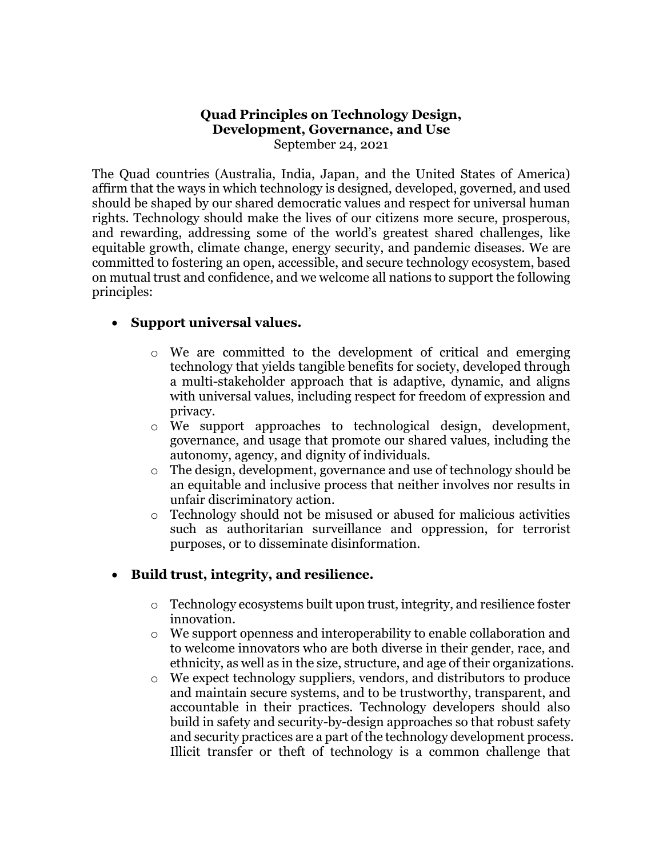## **Quad Principles on Technology Design, Development, Governance, and Use** September 24, 2021

The Quad countries (Australia, India, Japan, and the United States of America) affirm that the ways in which technology is designed, developed, governed, and used should be shaped by our shared democratic values and respect for universal human rights. Technology should make the lives of our citizens more secure, prosperous, and rewarding, addressing some of the world's greatest shared challenges, like equitable growth, climate change, energy security, and pandemic diseases. We are committed to fostering an open, accessible, and secure technology ecosystem, based on mutual trust and confidence, and we welcome all nations to support the following principles:

## **Support universal values.**

- $\circ$  We are committed to the development of critical and emerging technology that yields tangible benefits for society, developed through a multi-stakeholder approach that is adaptive, dynamic, and aligns with universal values, including respect for freedom of expression and privacy.
- o We support approaches to technological design, development, governance, and usage that promote our shared values, including the autonomy, agency, and dignity of individuals.
- o The design, development, governance and use of technology should be an equitable and inclusive process that neither involves nor results in unfair discriminatory action.
- Technology should not be misused or abused for malicious activities such as authoritarian surveillance and oppression, for terrorist purposes, or to disseminate disinformation.

## **Build trust, integrity, and resilience.**

- $\circ$  Technology ecosystems built upon trust, integrity, and resilience foster innovation.
- o We support openness and interoperability to enable collaboration and to welcome innovators who are both diverse in their gender, race, and ethnicity, as well as in the size, structure, and age of their organizations.
- o We expect technology suppliers, vendors, and distributors to produce and maintain secure systems, and to be trustworthy, transparent, and accountable in their practices. Technology developers should also build in safety and security-by-design approaches so that robust safety and security practices are a part of the technology development process. Illicit transfer or theft of technology is a common challenge that